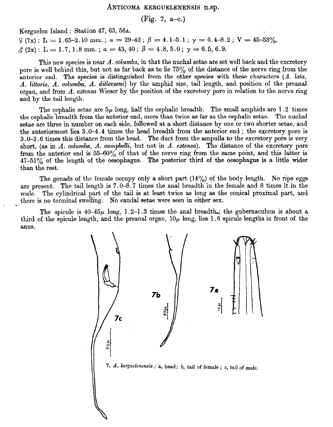#### ANTICOMA KERGUELENENSIS n. sp.

(Fig. 7, a-c.)

Kerguelen Island : Station 47, 63, 56A.

 $\varphi$  (7x): L = 1.65-2.10 mm.;  $a = 29-42$ ;  $\beta = 4.1-5.1$ ;  $\gamma = 6.4-8.2$ ; V = 45-53%.  $\zeta$  (2x): L = 1.7, 1.8 mm.; a = 43, 40;  $\beta$  = 4.8, 5.0;  $\gamma$  = 6.5, 6.9.

This new species is near A. columba, in that the nuchal setae are set well back and the excretory pore is well behind this, but not as far back as to lie 75% of the distance of the nerve ring from the anterior end. The species is distinguished from the other species with these characters  $(A. \text{ lata},$ A. littoris, A. columba, A. ditlevseni) by the amphid size, tail length, and position of the preanal organ, and from  $\Lambda$ . extensa Wieser by the position of the excretory pore in relation to the nerve ring and by the tail length.

The cephalic setae are  $5\mu$  long, half the cephalic breadth. The small amphids are 1.2 times the cephalic breadth from the anterior end, more than twice as far as the cephalic setae. The nuchal setae are three in number on each side, followed at a short distance by one or two shorter setae, and the anteriormost lies 3.0-4.4 times the head breadth from the anterior end ; the excretory pore is 3.0-3.6 times this distance from the head. The duct from the ampulla to the excretory pore is very short, (as in  $A$ . *columba*,  $A$ . *campbelli*, but not in  $A$ . *extensa*). The distance of the excretory pore from the anterior end is  $55-60\%$  of that of the nerve ring from the same point, and this latter is 47-51% of the length of the oesophagus. The posterior third of the oesophagus is a little wider than the rest.

The gonads of the female occupy only a short part  $(14\%)$  of the body length. No ripe eggs are present. The tail length is 7.0-8.7 times the anal breadth in the female and 8 times it in the male. The cylindrical part of the tail is at least twice as long as the conical proximal part, and there is no terminal swelling. No caudal setae were seen in either sex.

The spicule is  $40-45\mu$  long, 1.2-1.3 times the anal breadth.; the gubernaculum is about a third of the spicule length, and the preanal organ,  $10\mu$  long, lies 1.6 spicule lengths in front of the anus.

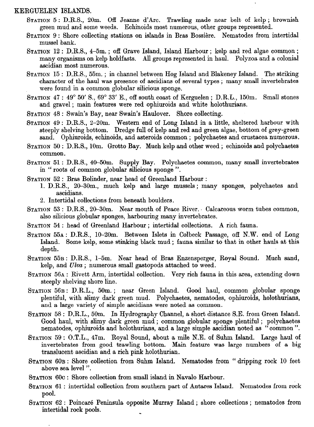## KERGUELEN ISLANDS.

- STATION 5 : D.R.S., 20m. Off Jeanne d'Arc. Trawling made near belt of kelp ; brownish green mud and some weeds. Echinoids most numerous, other groups represented.
- STATION 9 : Shore collecting stations on islands in Bras Bossière. Nematodes from intertidal mussel bank.
- STATION 12 : D.R.S., 4-5m. ; off Grave Island, Island Harbour ; kelp and red algae common ; many organisms on kelp holdfasts. All groups represented in haul. Polyzoa and a colonial ascidian most numerous.
- STATION 15 : D.R.S., 55m. ; in channel between Hog Island and Blakeney Island. The striking character of the haul was presence of ascidians of several types ; many small invertebrates were found in a common globular silicious sponge.
- STATION 47 : 49" 50' S., 69" 33' E., off south coast of Kerguelen ; D.R.L., 150m. Small stones and gravel ; main features were red ophiuroids and white holothurians.
- STATION 48 : Swain's Bay, near Swain's Haulover. Shore collecting.
- STATION 49 : D.R.S., 2-20m. Western end of Long Island in a little, sheltered harbour with steeply shelving bottom. Dredge full of kelp and red and green algae, bottom of grey-green sand. Ophiuroids, echinoids, and asteroids common ; polychaetes and crustacea numerous.
- STATION 50 : D.R.S., 10m. Grotto Bay. Much kelp and other weed ; echinoids and polychaetes common.
- STATION 51 : D.R.S., 40-50m. Supply Bay. Polychaetes common, many small invertebrates in " roots of common globular silicious sponge ".
- STATION 52 : Bras Bolinder, near head of Greenland Harbour :
	- 1. D.R.S., 20-30m., much kelp and large mussels ; many sponges, polychaetes and ascidians.
	- 2. Intertidal collections from beneath boulders.
- STATION 53 : D.R.S., 20-30m. Near mouth of Peace River. Calcareous worm tubes common, also silicious globular sponges, harbouring many invertebrates.
- STATION 54 : head of Greenland Harbour ; intertidal collections. A rich fauna.
- STATION 55A : D.R.S., 10-20m. Between Islets in Colbeck Passage, off N.W. end of Long Island. Some kelp, some stinking black mud ; fauna similar to that in other hauls at this depth.
- STATION 55B : D.R.S., l-5m. Near head of Bras Enzensperger, Royal Sound. Much sand, kelp, and  $Ulva$ ; numerous small gastopods attached to weed.
- STATION 56A : Rivett Arm, intertidal collection. Very rich fauna in this area, extending down steeply shelving shore line.
- STATION 56B : D.R.L., 50m. ; near Green Island. Good haul, common globular sponge plentiful, with slimy dark green mud. Polychaetes, nematodes, ophiuroids, holothurians, and a large variety of simple ascidians were noted as common.
- STATION 58 : D.R.L., 50m. In Hydrography Channel, a short distance SE. from Green Island. Good haul, with slimy dark green mud ; common globular sponge plentiful ; polychaetes nematodes, ophiuroids and holothurians, and a large simple ascidian noted as " common ".
- STATION 59 : O.T.L., 47m. Royal Sound, about a mile N.E. of Suhm Island. Large haul of invertebrates from good trawling bottom. Main feature was large numbers of a big translucent ascidian and a rich pink holothurian.
- STATION 60B : Shore collection from Suhm Island. Nematodes from " dripping rock 10 feet above sea level ".
- STATION 60C : Shore collection from small island in Navalo Harbour.
- STATION 61 : intertidal collection from southern part of Antares Island. Nematodes from rock pool.
- STATION 62 : Poincare Peninsula opposite Murray Island ; shore collections ; nematodes from intertidal rock pools. \_